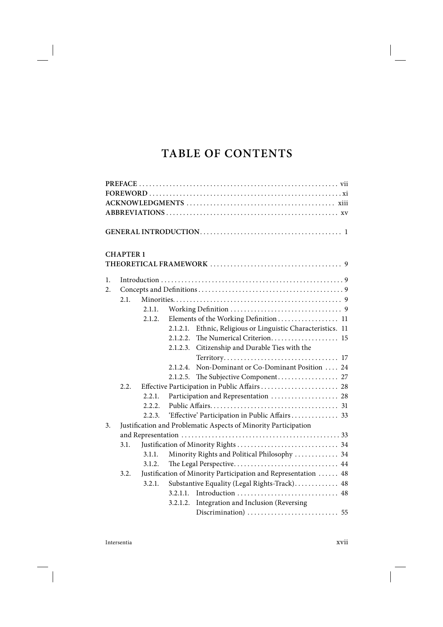# **TABLE OF CONTENTS**

|    | <b>CHAPTER 1</b> |        |          |                                                                 |  |
|----|------------------|--------|----------|-----------------------------------------------------------------|--|
|    |                  |        |          |                                                                 |  |
| 1. |                  |        |          |                                                                 |  |
| 2. |                  |        |          |                                                                 |  |
|    | 2.1.             |        |          |                                                                 |  |
|    |                  | 2.1.1. |          |                                                                 |  |
|    |                  | 2.1.2. |          | Elements of the Working Definition 11                           |  |
|    |                  |        | 2.1.2.1. | Ethnic, Religious or Linguistic Characteristics. 11             |  |
|    |                  |        | 2.1.2.2. | The Numerical Criterion 15                                      |  |
|    |                  |        | 2.1.2.3. | Citizenship and Durable Ties with the                           |  |
|    |                  |        |          |                                                                 |  |
|    |                  |        | 2.1.2.4. | Non-Dominant or Co-Dominant Position  24                        |  |
|    |                  |        | 2.1.2.5. |                                                                 |  |
|    | 2.2.             |        |          | Effective Participation in Public Affairs  28                   |  |
|    |                  | 2.2.1. |          | Participation and Representation  28                            |  |
|    |                  | 2.2.2. |          |                                                                 |  |
|    |                  | 2.2.3. |          | 'Effective' Participation in Public Affairs 33                  |  |
| 3. |                  |        |          | Justification and Problematic Aspects of Minority Participation |  |
|    |                  |        |          |                                                                 |  |
|    | 3.1.             |        |          |                                                                 |  |
|    |                  | 3.1.1. |          | Minority Rights and Political Philosophy  34                    |  |
|    |                  | 3.1.2. |          |                                                                 |  |
|    | 3.2.             |        |          | Justification of Minority Participation and Representation  48  |  |
|    |                  | 3.2.1. |          | Substantive Equality (Legal Rights-Track) 48                    |  |
|    |                  |        | 3.2.1.1. |                                                                 |  |
|    |                  |        | 3.2.1.2. | Integration and Inclusion (Reversing                            |  |
|    |                  |        |          |                                                                 |  |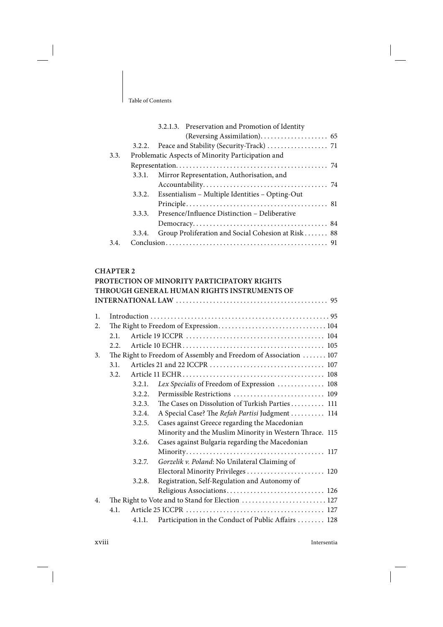|      |        | 3.2.1.3. Preservation and Promotion of Identity    |
|------|--------|----------------------------------------------------|
|      |        |                                                    |
|      |        |                                                    |
| 3.3. |        | Problematic Aspects of Minority Participation and  |
|      |        |                                                    |
|      | 3.3.1. | Mirror Representation, Authorisation, and          |
|      |        |                                                    |
|      | 3.3.2. | Essentialism - Multiple Identities - Opting-Out    |
|      |        |                                                    |
|      | 3.3.3. | Presence/Influence Distinction – Deliberative      |
|      |        |                                                    |
|      | 3.3.4. | Group Proliferation and Social Cohesion at Risk 88 |
| 3.4. |        |                                                    |

#### **CHAPTER 2**

|    |      |        | PROTECTION OF MINORITY PARTICIPATORY RIGHTS                      |
|----|------|--------|------------------------------------------------------------------|
|    |      |        | THROUGH GENERAL HUMAN RIGHTS INSTRUMENTS OF                      |
|    |      |        |                                                                  |
|    |      |        |                                                                  |
| 1. |      |        |                                                                  |
| 2. |      |        |                                                                  |
|    | 2.1. |        |                                                                  |
|    | 2.2. |        |                                                                  |
| 3. |      |        | The Right to Freedom of Assembly and Freedom of Association  107 |
|    | 3.1. |        |                                                                  |
|    | 3.2. |        |                                                                  |
|    |      | 3.2.1. | Lex Specialis of Freedom of Expression  108                      |
|    |      | 3.2.2. |                                                                  |
|    |      | 3.2.3. | The Cases on Dissolution of Turkish Parties 111                  |
|    |      | 3.2.4. | A Special Case? The Refah Partisi Judgment  114                  |
|    |      | 3.2.5. | Cases against Greece regarding the Macedonian                    |
|    |      |        | Minority and the Muslim Minority in Western Thrace. 115          |
|    |      | 3.2.6. | Cases against Bulgaria regarding the Macedonian                  |
|    |      |        |                                                                  |
|    |      | 3.2.7. | Gorzelik v. Poland: No Unilateral Claiming of                    |
|    |      |        | Electoral Minority Privileges  120                               |
|    |      | 3.2.8. | Registration, Self-Regulation and Autonomy of                    |
|    |      |        | Religious Associations 126                                       |
| 4. |      |        | The Right to Vote and to Stand for Election  127                 |
|    | 4.1. |        |                                                                  |
|    |      |        | 4.1.1. Participation in the Conduct of Public Affairs  128       |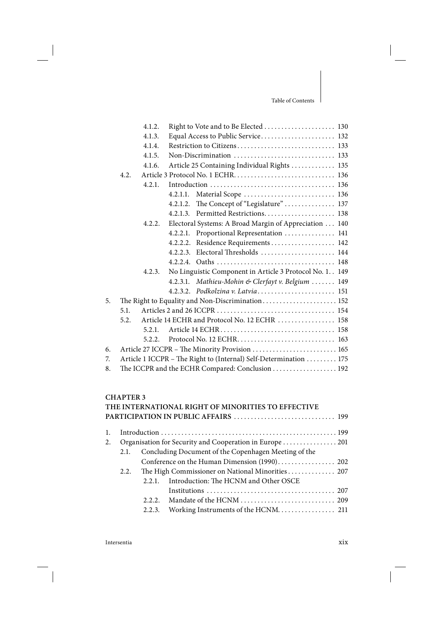$\overline{\phantom{a}}$ 

|      | 4.1.2. |          |                                                                                  |
|------|--------|----------|----------------------------------------------------------------------------------|
|      | 4.1.3. |          | Equal Access to Public Service 132                                               |
|      | 4.1.4. |          |                                                                                  |
|      | 4.1.5. |          | Non-Discrimination $\ldots \ldots \ldots \ldots \ldots \ldots \ldots \ldots$ 133 |
|      | 4.1.6. |          | Article 25 Containing Individual Rights  135                                     |
| 4.2. |        |          |                                                                                  |
|      | 4.2.1. |          |                                                                                  |
|      |        | 4.2.1.1. | Material Scope  136                                                              |
|      |        |          | The Concept of "Legislature"  137                                                |
|      |        |          | 4.2.1.3. Permitted Restrictions 138                                              |
|      |        |          | Electoral Systems: A Broad Margin of Appreciation  140                           |
|      |        |          | 4.2.2.1. Proportional Representation  141                                        |
|      |        | 4.2.2.2. | Residence Requirements  142                                                      |
|      |        |          | Electoral Thresholds  144                                                        |
|      |        |          |                                                                                  |
|      | 4.2.3. |          | No Linguistic Component in Article 3 Protocol No. 1. 149                         |
|      |        |          | 4.2.3.1. Mathieu-Mohin & Clerfayt v. Belgium  149                                |
|      |        |          | 4.2.3.2. Podkolzina v. Latvia 151                                                |
|      |        |          | The Right to Equality and Non-Discrimination 152                                 |
| 5.1. |        |          |                                                                                  |
| 5.2. |        |          | Article 14 ECHR and Protocol No. 12 ECHR  158                                    |
|      | 5.2.1. |          |                                                                                  |
|      | 5.2.2. |          |                                                                                  |
|      |        |          | Article 27 ICCPR - The Minority Provision  165                                   |
|      |        |          | Article 1 ICCPR - The Right to (Internal) Self-Determination 175                 |
|      |        |          | The ICCPR and the ECHR Compared: Conclusion  192                                 |
|      |        |          | 4.2.1.2.<br>4.2.2.<br>4.2.2.3.                                                   |

## **CHAPTER 3**

|    |      |        | THE INTERNATIONAL RIGHT OF MINORITIES TO EFFECTIVE   |  |
|----|------|--------|------------------------------------------------------|--|
|    |      |        | PARTICIPATION IN PUBLIC AFFAIRS  199                 |  |
| 1. |      |        |                                                      |  |
| 2. |      |        |                                                      |  |
|    | 2.1. |        | Concluding Document of the Copenhagen Meeting of the |  |
|    |      |        | Conference on the Human Dimension (1990) 202         |  |
|    | 2.2. |        | The High Commissioner on National Minorities  207    |  |
|    |      | 2.2.1  | Introduction: The HCNM and Other OSCE                |  |
|    |      |        |                                                      |  |
|    |      |        |                                                      |  |
|    |      | 2.2.3. |                                                      |  |
|    |      |        |                                                      |  |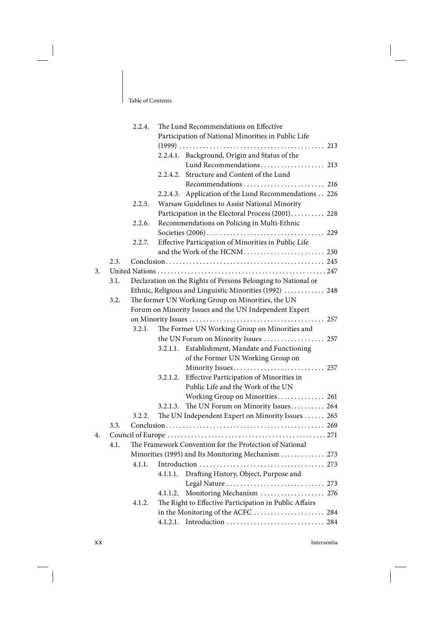|    |      | 2.2.4. |          | The Lund Recommendations on Effective                         |
|----|------|--------|----------|---------------------------------------------------------------|
|    |      |        |          | Participation of National Minorities in Public Life           |
|    |      |        |          |                                                               |
|    |      |        |          | 2.2.4.1. Background, Origin and Status of the                 |
|    |      |        |          | Lund Recommendations 213                                      |
|    |      |        | 2.2.4.2. | Structure and Content of the Lund                             |
|    |      |        |          |                                                               |
|    |      |        | 2.2.4.3. | Application of the Lund Recommendations 226                   |
|    |      | 2.2.5. |          | Warsaw Guidelines to Assist National Minority                 |
|    |      |        |          | Participation in the Electoral Process (2001) 228             |
|    |      | 2.2.6. |          | Recommendations on Policing in Multi-Ethnic                   |
|    |      |        |          |                                                               |
|    |      | 2.2.7. |          | Effective Participation of Minorities in Public Life          |
|    |      |        |          | and the Work of the HCNM 230                                  |
|    | 2.3. |        |          |                                                               |
| 3. |      |        |          |                                                               |
|    | 3.1. |        |          | Declaration on the Rights of Persons Belonging to National or |
|    |      |        |          |                                                               |
|    |      |        |          | Ethnic, Religious and Linguistic Minorities (1992)  248       |
|    | 3.2. |        |          | The former UN Working Group on Minorities, the UN             |
|    |      |        |          | Forum on Minority Issues and the UN Independent Expert        |
|    |      |        |          |                                                               |
|    |      | 3.2.1. |          | The Former UN Working Group on Minorities and                 |
|    |      |        |          | the UN Forum on Minority Issues  257                          |
|    |      |        |          | 3.2.1.1. Establishment, Mandate and Functioning               |
|    |      |        |          | of the Former UN Working Group on                             |
|    |      |        |          | Minority Issues 257                                           |
|    |      |        | 3.2.1.2. | Effective Participation of Minorities in                      |
|    |      |        |          | Public Life and the Work of the UN                            |
|    |      |        |          | Working Group on Minorities 261                               |
|    |      |        | 3.2.1.3. | The UN Forum on Minority Issues 264                           |
|    |      | 3.2.2. |          | The UN Independent Expert on Minority Issues  265             |
|    | 3.3. |        |          |                                                               |
| 4. |      |        |          |                                                               |
|    | 4.1. |        |          | The Framework Convention for the Protection of National       |
|    |      |        |          | Minorities (1995) and Its Monitoring Mechanism  273           |
|    |      | 4.1.1. |          |                                                               |
|    |      |        | 4.1.1.1. | Drafting History, Object, Purpose and                         |
|    |      |        |          | Legal Nature  273                                             |
|    |      |        | 4.1.1.2. | Monitoring Mechanism  276                                     |
|    |      | 4.1.2. |          | The Right to Effective Participation in Public Affairs        |
|    |      |        |          | in the Monitoring of the ACFC  284                            |
|    |      |        | 4.1.2.1. | Introduction  284                                             |
|    |      |        |          |                                                               |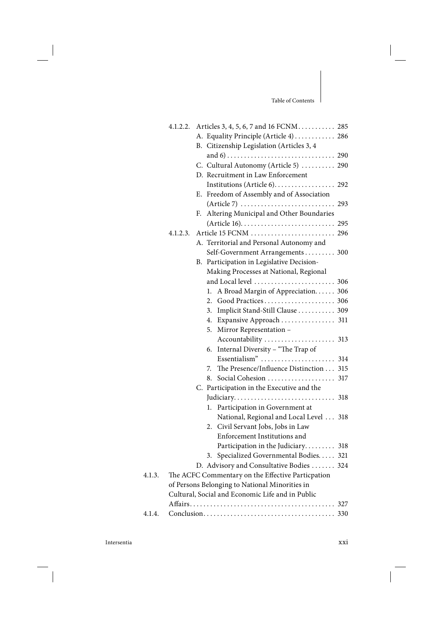$\overline{\phantom{a}}$ 

|        | 4.1.2.2. |                                                  | Articles 3, 4, 5, 6, 7 and 16 FCNM 285                                           |  |
|--------|----------|--------------------------------------------------|----------------------------------------------------------------------------------|--|
|        |          |                                                  | A. Equality Principle (Article 4)  286                                           |  |
|        |          | B. Citizenship Legislation (Articles 3, 4        |                                                                                  |  |
|        |          |                                                  |                                                                                  |  |
|        |          |                                                  | C. Cultural Autonomy (Article 5)  290                                            |  |
|        |          | D. Recruitment in Law Enforcement                |                                                                                  |  |
|        |          |                                                  |                                                                                  |  |
|        |          |                                                  | E. Freedom of Assembly and of Association                                        |  |
|        |          |                                                  | $(Article 7) \ldots \ldots \ldots \ldots \ldots \ldots \ldots \ldots \ldots 293$ |  |
|        |          | F.                                               | Altering Municipal and Other Boundaries                                          |  |
|        |          |                                                  |                                                                                  |  |
|        | 4.1.2.3. |                                                  |                                                                                  |  |
|        |          |                                                  | A. Territorial and Personal Autonomy and                                         |  |
|        |          |                                                  | Self-Government Arrangements 300                                                 |  |
|        |          |                                                  | B. Participation in Legislative Decision-                                        |  |
|        |          |                                                  | Making Processes at National, Regional                                           |  |
|        |          |                                                  | and Local level  306                                                             |  |
|        |          | 1.                                               | A Broad Margin of Appreciation. 306                                              |  |
|        |          |                                                  |                                                                                  |  |
|        |          | 3.                                               | Implicit Stand-Still Clause 309                                                  |  |
|        |          |                                                  | 4. Expansive Approach  311                                                       |  |
|        |          | 5.<br>Mirror Representation -                    |                                                                                  |  |
|        |          |                                                  |                                                                                  |  |
|        |          | 6.                                               | Internal Diversity - "The Trap of                                                |  |
|        |          |                                                  |                                                                                  |  |
|        |          | 7.                                               | The Presence/Influence Distinction 315                                           |  |
|        |          | 8.                                               |                                                                                  |  |
|        |          |                                                  | C. Participation in the Executive and the                                        |  |
|        |          |                                                  |                                                                                  |  |
|        |          | ı.                                               | Participation in Government at                                                   |  |
|        |          |                                                  | National, Regional and Local Level  318                                          |  |
|        |          | 2. Civil Servant Jobs, Jobs in Law               |                                                                                  |  |
|        |          |                                                  | Enforcement Institutions and                                                     |  |
|        |          |                                                  | Participation in the Judiciary 318                                               |  |
|        |          |                                                  | 3. Specialized Governmental Bodies 321                                           |  |
|        |          |                                                  | D. Advisory and Consultative Bodies  324                                         |  |
| 4.1.3. |          |                                                  | The ACFC Commentary on the Effective Particpation                                |  |
|        |          | of Persons Belonging to National Minorities in   |                                                                                  |  |
|        |          | Cultural, Social and Economic Life and in Public |                                                                                  |  |
|        |          |                                                  |                                                                                  |  |
| 4.1.4. |          |                                                  |                                                                                  |  |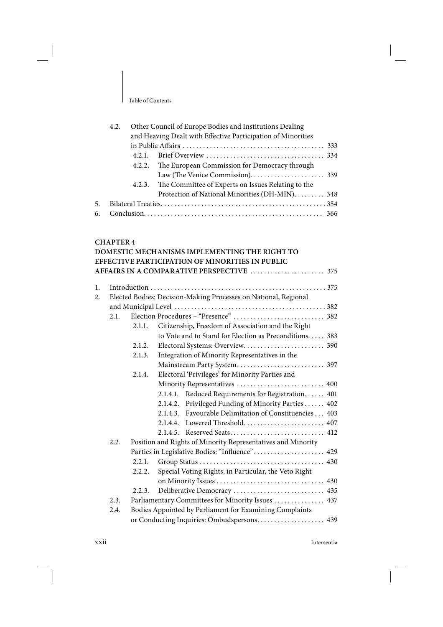|    | 4.2. | Other Council of Europe Bodies and Institutions Dealing      |
|----|------|--------------------------------------------------------------|
|    |      | and Heaving Dealt with Effective Participation of Minorities |
|    |      |                                                              |
|    |      |                                                              |
|    |      | 4.2.2. The European Commission for Democracy through         |
|    |      |                                                              |
|    |      | 4.2.3. The Committee of Experts on Issues Relating to the    |
|    |      | Protection of National Minorities (DH-MIN). 348              |
| 5. |      |                                                              |
| 6. |      |                                                              |

#### **CHAPTER 4**

# **DOMESTIC MECHANISMS IMPLEMENTING THE RIGHT TO EFFECTIVE PARTICIPATION OF MINORITIES IN PUBLIC AFFAIRS IN A COMPARATIVE PERSPECTIVE** . . . . . . . . . . . . . . . . . . . . . . 375

|      |        | Elected Bodies: Decision-Making Processes on National, Regional |
|------|--------|-----------------------------------------------------------------|
|      |        |                                                                 |
|      |        |                                                                 |
|      | 2.1.1. | Citizenship, Freedom of Association and the Right               |
|      |        | to Vote and to Stand for Election as Preconditions 383          |
|      | 2.1.2. |                                                                 |
|      | 2.1.3. | Integration of Minority Representatives in the                  |
|      |        | Mainstream Party System 397                                     |
|      | 2.1.4. | Electoral 'Privileges' for Minority Parties and                 |
|      |        | Minority Representatives  400                                   |
|      |        | 2.1.4.1. Reduced Requirements for Registration 401              |
|      |        | 2.1.4.2. Privileged Funding of Minority Parties  402            |
|      |        | 2.1.4.3. Favourable Delimitation of Constituencies 403          |
|      |        | 2.1.4.4. Lowered Threshold 407                                  |
|      |        | 2.1.4.5. Reserved Seats 412                                     |
| 2.2. |        | Position and Rights of Minority Representatives and Minority    |
|      |        | Parties in Legislative Bodies: "Influence" 429                  |
|      | 2.2.1. |                                                                 |
|      |        | Special Voting Rights, in Particular, the Veto Right            |
|      |        |                                                                 |
|      | 2.2.3. | Deliberative Democracy  435                                     |
| 2.3. |        | Parliamentary Committees for Minority Issues  437               |
| 2.4. |        | Bodies Appointed by Parliament for Examining Complaints         |
|      |        | or Conducting Inquiries: Ombudspersons 439                      |
|      |        | 2.1.<br>2.2.2.                                                  |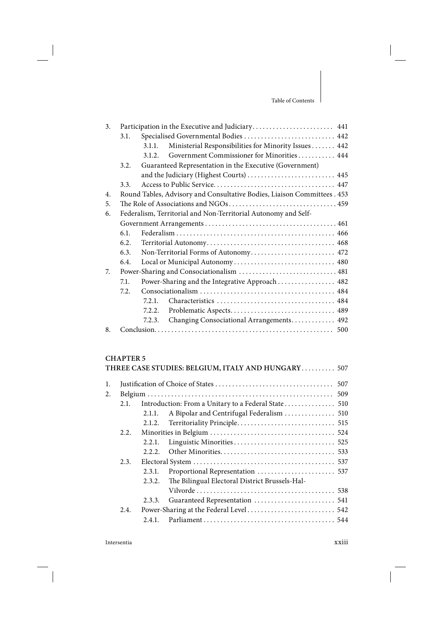$\overline{\phantom{a}}$ 

| 3 <sub>1</sub> |      |                                                                          |  |  |  |
|----------------|------|--------------------------------------------------------------------------|--|--|--|
|                | 3.1. | Specialised Governmental Bodies  442                                     |  |  |  |
|                |      | Ministerial Responsibilities for Minority Issues 442<br>3.1.1.           |  |  |  |
|                |      | Government Commissioner for Minorities 444<br>3.1.2.                     |  |  |  |
|                | 3.2. | Guaranteed Representation in the Executive (Government)                  |  |  |  |
|                |      | and the Judiciary (Highest Courts)  445                                  |  |  |  |
|                | 3.3. |                                                                          |  |  |  |
| 4.             |      | Round Tables, Advisory and Consultative Bodies, Liaison Committees . 453 |  |  |  |
| 5.             |      |                                                                          |  |  |  |
| 6.             |      | Federalism, Territorial and Non-Territorial Autonomy and Self-           |  |  |  |
|                |      |                                                                          |  |  |  |
|                | 6.1. |                                                                          |  |  |  |
|                | 6.2. |                                                                          |  |  |  |
|                | 6.3. | Non-Territorial Forms of Autonomy 472                                    |  |  |  |
|                | 6.4. | Local or Municipal Autonomy 480                                          |  |  |  |
| 7.             |      | Power-Sharing and Consociationalism  481                                 |  |  |  |
|                | 7.1. | Power-Sharing and the Integrative Approach  482                          |  |  |  |
|                | 7.2. |                                                                          |  |  |  |
|                |      | 7.2.1.                                                                   |  |  |  |
|                |      | Problematic Aspects 489<br>7.2.2.                                        |  |  |  |
|                |      | Changing Consociational Arrangements 492<br>7.2.3.                       |  |  |  |
| 8.             |      |                                                                          |  |  |  |
|                |      |                                                                          |  |  |  |

# **CHAPTER 5**

|                |      |        | THREE CASE STUDIES: BELGIUM, ITALY AND HUNGARY 507  |
|----------------|------|--------|-----------------------------------------------------|
| $\mathbf{1}$ . |      |        |                                                     |
| 2.             |      |        |                                                     |
|                | 2.1. |        | Introduction: From a Unitary to a Federal State 510 |
|                |      | 2.1.1. | A Bipolar and Centrifugal Federalism  510           |
|                |      |        |                                                     |
|                | 2.2. |        |                                                     |
|                |      | 2.2.1. |                                                     |
|                |      | 2.2.2. |                                                     |
|                | 2.3. |        |                                                     |
|                |      | 2.3.1. |                                                     |
|                |      | 2.3.2. | The Bilingual Electoral District Brussels-Hal-      |
|                |      |        |                                                     |
|                |      | 2.3.3. |                                                     |
|                | 2.4. |        |                                                     |
|                |      | 2.4.1. |                                                     |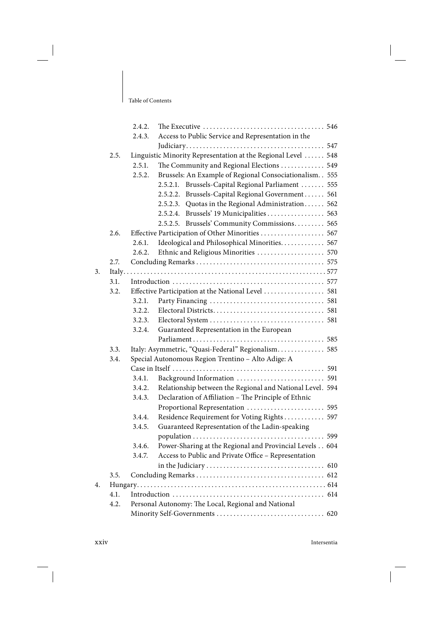|    |      | 2.4.2.                                             |                                                               |  |  |  |
|----|------|----------------------------------------------------|---------------------------------------------------------------|--|--|--|
|    |      | Access to Public Service and Representation in the |                                                               |  |  |  |
|    |      |                                                    |                                                               |  |  |  |
|    | 2.5. |                                                    | Linguistic Minority Representation at the Regional Level  548 |  |  |  |
|    |      | 2.5.1.                                             | The Community and Regional Elections  549                     |  |  |  |
|    |      | 2.5.2.                                             | Brussels: An Example of Regional Consociationalism. . 555     |  |  |  |
|    |      |                                                    | Brussels-Capital Regional Parliament  555<br>2.5.2.1.         |  |  |  |
|    |      |                                                    | 2.5.2.2.<br>Brussels-Capital Regional Government 561          |  |  |  |
|    |      |                                                    | Quotas in the Regional Administration 562<br>2.5.2.3.         |  |  |  |
|    |      |                                                    | Brussels' 19 Municipalities  563<br>2.5.2.4.                  |  |  |  |
|    |      |                                                    | Brussels' Community Commissions 565<br>2.5.2.5.               |  |  |  |
|    | 2.6. | Effective Participation of Other Minorities  567   |                                                               |  |  |  |
|    |      | 2.6.1.                                             | Ideological and Philosophical Minorities 567                  |  |  |  |
|    |      | 2.6.2.                                             | Ethnic and Religious Minorities  570                          |  |  |  |
|    | 2.7. |                                                    |                                                               |  |  |  |
| 3. |      |                                                    |                                                               |  |  |  |
|    | 3.1. |                                                    |                                                               |  |  |  |
|    | 3.2. | Effective Participation at the National Level  581 |                                                               |  |  |  |
|    |      | 3.2.1.                                             |                                                               |  |  |  |
|    |      | 3.2.2.                                             |                                                               |  |  |  |
|    |      | 3.2.3.                                             |                                                               |  |  |  |
|    |      | 3.2.4.                                             | Guaranteed Representation in the European                     |  |  |  |
|    |      |                                                    |                                                               |  |  |  |
|    | 3.3. |                                                    | Italy: Asymmetric, "Quasi-Federal" Regionalism 585            |  |  |  |
|    | 3.4. |                                                    | Special Autonomous Region Trentino - Alto Adige: A            |  |  |  |
|    |      |                                                    |                                                               |  |  |  |
|    |      | 3.4.1.                                             |                                                               |  |  |  |
|    |      | 3.4.2.                                             | Relationship between the Regional and National Level. 594     |  |  |  |
|    |      | 3.4.3.                                             | Declaration of Affiliation - The Principle of Ethnic          |  |  |  |
|    |      |                                                    | Proportional Representation  595                              |  |  |  |
|    |      | 3.4.4.                                             | Residence Requirement for Voting Rights 597                   |  |  |  |
|    |      | 3.4.5.                                             | Guaranteed Representation of the Ladin-speaking               |  |  |  |
|    |      |                                                    |                                                               |  |  |  |
|    |      | 3.4.6.                                             | Power-Sharing at the Regional and Provincial Levels 604       |  |  |  |
|    |      | 3.4.7.                                             | Access to Public and Private Office - Representation          |  |  |  |
|    |      |                                                    |                                                               |  |  |  |
|    | 3.5. |                                                    |                                                               |  |  |  |
| 4. |      |                                                    |                                                               |  |  |  |
|    | 4.1. |                                                    |                                                               |  |  |  |
|    | 4.2. |                                                    | Personal Autonomy: The Local, Regional and National           |  |  |  |
|    |      |                                                    |                                                               |  |  |  |